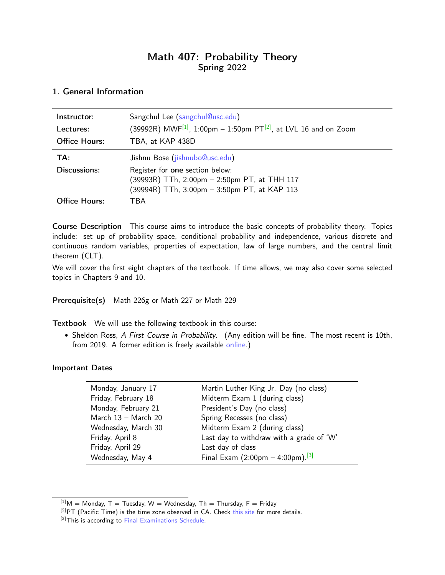# Math 407: Probability Theory Spring 2022

### <span id="page-0-0"></span>1. General Information

| Instructor:<br>Lectures:<br><b>Office Hours:</b> | Sangchul Lee (sangchul@usc.edu)<br>(39992R) MWF <sup>[1]</sup> , 1:00pm – 1:50pm PT <sup>[2]</sup> , at LVL 16 and on Zoom<br>TBA, at KAP 438D                    |
|--------------------------------------------------|-------------------------------------------------------------------------------------------------------------------------------------------------------------------|
| TA:<br>Discussions:                              | Jishnu Bose (jishnubo@usc.edu)<br>Register for one section below:<br>(39993R) TTh, 2:00pm - 2:50pm PT, at THH 117<br>(39994R) TTh, 3:00pm - 3:50pm PT, at KAP 113 |
| <b>Office Hours:</b>                             | <b>TBA</b>                                                                                                                                                        |

Course Description This course aims to introduce the basic concepts of probability theory. Topics include: set up of probability space, conditional probability and independence, various discrete and continuous random variables, properties of expectation, law of large numbers, and the central limit theorem (CLT).

We will cover the first eight chapters of the textbook. If time allows, we may also cover some selected topics in Chapters 9 and 10.

#### Prerequisite(s) Math 226g or Math 227 or Math 229

Textbook We will use the following textbook in this course:

• Sheldon Ross, A First Course in Probability. (Any edition will be fine. The most recent is 10th, from 2019. A former edition is freely available [online.](http://julio.staff.ipb.ac.id/files/2015/02/Ross_8th_ed_English.pdf))

#### Important Dates

| Monday, January 17  | Martin Luther King Jr. Day (no class)                          |  |  |
|---------------------|----------------------------------------------------------------|--|--|
| Friday, February 18 | Midterm Exam 1 (during class)                                  |  |  |
| Monday, February 21 | President's Day (no class)                                     |  |  |
| March 13 - March 20 | Spring Recesses (no class)                                     |  |  |
| Wednesday, March 30 | Midterm Exam 2 (during class)                                  |  |  |
| Friday, April 8     | Last day to withdraw with a grade of 'W'                       |  |  |
| Friday, April 29    | Last day of class                                              |  |  |
| Wednesday, May 4    | Final Exam $(2:00 \text{pm} - 4:00 \text{pm})$ . $\frac{3}{1}$ |  |  |

 $[1]$ M = Monday, T = Tuesday, W = Wednesday, Th = Thursday, F = Friday

 $[2]PT$  (Pacific Time) is the time zone observed in CA. Check [this site](https://www.timeanddate.com/time/zone/usa/los-angeles) for more details.

<sup>[3]</sup> This is according to [Final Examinations Schedule.](https://classes.usc.edu/term-20221/finals/)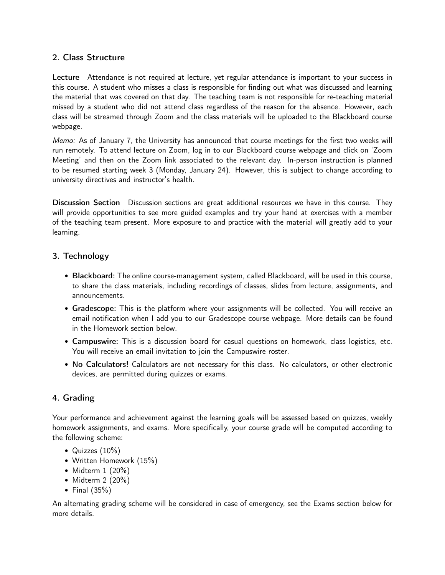#### 2. Class Structure

Lecture Attendance is not required at lecture, yet regular attendance is important to your success in this course. A student who misses a class is responsible for finding out what was discussed and learning the material that was covered on that day. The teaching team is not responsible for re-teaching material missed by a student who did not attend class regardless of the reason for the absence. However, each class will be streamed through Zoom and the class materials will be uploaded to the Blackboard course webpage.

Memo: As of January 7, the University has announced that course meetings for the first two weeks will run remotely. To attend lecture on Zoom, log in to our Blackboard course webpage and click on 'Zoom Meeting' and then on the Zoom link associated to the relevant day. In-person instruction is planned to be resumed starting week 3 (Monday, January 24). However, this is subject to change according to university directives and instructor's health.

Discussion Section Discussion sections are great additional resources we have in this course. They will provide opportunities to see more guided examples and try your hand at exercises with a member of the teaching team present. More exposure to and practice with the material will greatly add to your learning.

### 3. Technology

- Blackboard: The online course-management system, called Blackboard, will be used in this course, to share the class materials, including recordings of classes, slides from lecture, assignments, and announcements.
- Gradescope: This is the platform where your assignments will be collected. You will receive an email notification when I add you to our Gradescope course webpage. More details can be found in the Homework section below.
- Campuswire: This is a discussion board for casual questions on homework, class logistics, etc. You will receive an email invitation to join the Campuswire roster.
- No Calculators! Calculators are not necessary for this class. No calculators, or other electronic devices, are permitted during quizzes or exams.

## 4. Grading

Your performance and achievement against the learning goals will be assessed based on quizzes, weekly homework assignments, and exams. More specifically, your course grade will be computed according to the following scheme:

- Quizzes (10%)
- Written Homework (15%)
- Midterm 1 (20%)
- Midterm 2 (20%)
- Final (35%)

An alternating grading scheme will be considered in case of emergency, see the Exams section below for more details.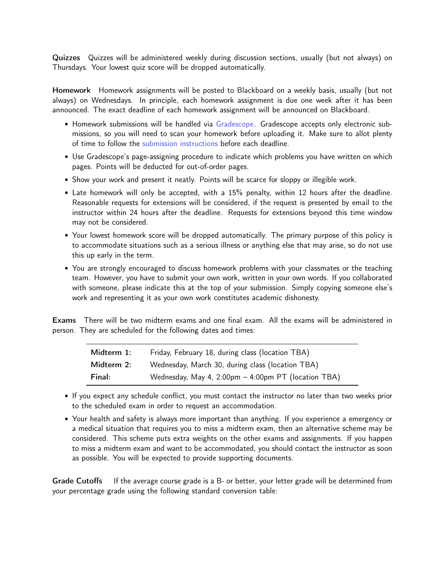Quizzes Quizzes will be administered weekly during discussion sections, usually (but not always) on Thursdays. Your lowest quiz score will be dropped automatically.

Homework Homework assignments will be posted to Blackboard on a weekly basis, usually (but not always) on Wednesdays. In principle, each homework assignment is due one week after it has been announced. The exact deadline of each homework assignment will be announced on Blackboard.

- Homework submissions will be handled via [Gradescope.](https://www.gradescope.com) Gradescope accepts only electronic submissions, so you will need to scan your homework before uploading it. Make sure to allot plenty of time to follow the [submission instructions](https://gradescope-static-assets.s3.amazonaws.com/help/submitting_hw_guide.pdf) before each deadline.
- Use Gradescope's page-assigning procedure to indicate which problems you have written on which pages. Points will be deducted for out-of-order pages.
- Show your work and present it neatly. Points will be scarce for sloppy or illegible work.
- Late homework will only be accepted, with a 15% penalty, within 12 hours after the deadline. Reasonable requests for extensions will be considered, if the request is presented by email to the instructor within 24 hours after the deadline. Requests for extensions beyond this time window may not be considered.
- Your lowest homework score will be dropped automatically. The primary purpose of this policy is to accommodate situations such as a serious illness or anything else that may arise, so do not use this up early in the term.
- You are strongly encouraged to discuss homework problems with your classmates or the teaching team. However, you have to submit your own work, written in your own words. If you collaborated with someone, please indicate this at the top of your submission. Simply copying someone else's work and representing it as your own work constitutes academic dishonesty.

Exams There will be two midterm exams and one final exam. All the exams will be administered in person. They are scheduled for the following dates and times:

| Midterm 1: | Friday, February 18, during class (location TBA)    |  |  |
|------------|-----------------------------------------------------|--|--|
| Midterm 2: | Wednesday, March 30, during class (location TBA)    |  |  |
| Final:     | Wednesday, May 4, 2:00pm - 4:00pm PT (location TBA) |  |  |

- If you expect any schedule conflict, you must contact the instructor no later than two weeks prior to the scheduled exam in order to request an accommodation.
- Your health and safety is always more important than anything. If you experience a emergency or a medical situation that requires you to miss a midterm exam, then an alternative scheme may be considered. This scheme puts extra weights on the other exams and assignments. If you happen to miss a midterm exam and want to be accommodated, you should contact the instructor as soon as possible. You will be expected to provide supporting documents.

Grade Cutoffs If the average course grade is a B- or better, your letter grade will be determined from your percentage grade using the following standard conversion table: